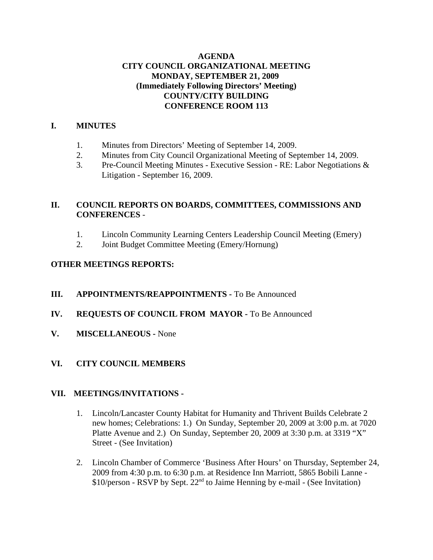## **AGENDA CITY COUNCIL ORGANIZATIONAL MEETING MONDAY, SEPTEMBER 21, 2009 (Immediately Following Directors' Meeting) COUNTY/CITY BUILDING CONFERENCE ROOM 113**

## **I. MINUTES**

- 1. Minutes from Directors' Meeting of September 14, 2009.
- 2. Minutes from City Council Organizational Meeting of September 14, 2009.
- 3. Pre-Council Meeting Minutes Executive Session RE: Labor Negotiations & Litigation - September 16, 2009.

## **II. COUNCIL REPORTS ON BOARDS, COMMITTEES, COMMISSIONS AND CONFERENCES** -

- 1. Lincoln Community Learning Centers Leadership Council Meeting (Emery)
- 2. Joint Budget Committee Meeting (Emery/Hornung)

## **OTHER MEETINGS REPORTS:**

- **III. APPOINTMENTS/REAPPOINTMENTS -** To Be Announced
- **IV. REQUESTS OF COUNCIL FROM MAYOR -** To Be Announced
- **V. MISCELLANEOUS -** None

## **VI. CITY COUNCIL MEMBERS**

#### **VII. MEETINGS/INVITATIONS -**

- 1. Lincoln/Lancaster County Habitat for Humanity and Thrivent Builds Celebrate 2 new homes; Celebrations: 1.) On Sunday, September 20, 2009 at 3:00 p.m. at 7020 Platte Avenue and 2.) On Sunday, September 20, 2009 at 3:30 p.m. at 3319 "X" Street - (See Invitation)
- 2. Lincoln Chamber of Commerce 'Business After Hours' on Thursday, September 24, 2009 from 4:30 p.m. to 6:30 p.m. at Residence Inn Marriott, 5865 Bobili Lanne -  $$10/person - RSVP$  by Sept.  $22<sup>nd</sup>$  to Jaime Henning by e-mail - (See Invitation)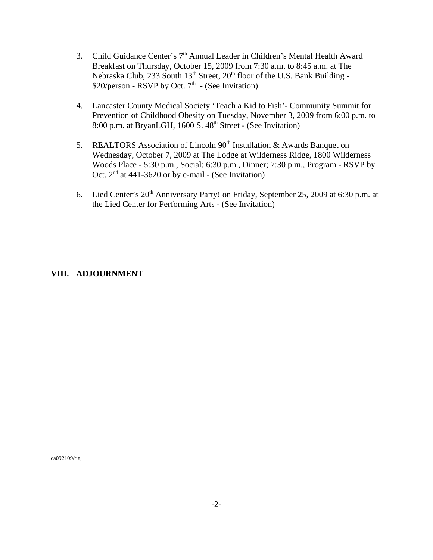- 3. Child Guidance Center's 7<sup>th</sup> Annual Leader in Children's Mental Health Award Breakfast on Thursday, October 15, 2009 from 7:30 a.m. to 8:45 a.m. at The Nebraska Club, 233 South  $13<sup>th</sup>$  Street,  $20<sup>th</sup>$  floor of the U.S. Bank Building -\$20/person - RSVP by Oct.  $7<sup>th</sup>$  - (See Invitation)
- 4. Lancaster County Medical Society 'Teach a Kid to Fish'- Community Summit for Prevention of Childhood Obesity on Tuesday, November 3, 2009 from 6:00 p.m. to 8:00 p.m. at BryanLGH,  $1600$  S.  $48<sup>th</sup>$  Street - (See Invitation)
- 5. REALTORS Association of Lincoln 90<sup>th</sup> Installation & Awards Banquet on Wednesday, October 7, 2009 at The Lodge at Wilderness Ridge, 1800 Wilderness Woods Place - 5:30 p.m., Social; 6:30 p.m., Dinner; 7:30 p.m., Program - RSVP by Oct.  $2<sup>nd</sup>$  at 441-3620 or by e-mail - (See Invitation)
- 6. Lied Center's  $20<sup>th</sup>$  Anniversary Party! on Friday, September 25, 2009 at 6:30 p.m. at the Lied Center for Performing Arts - (See Invitation)

## **VIII. ADJOURNMENT**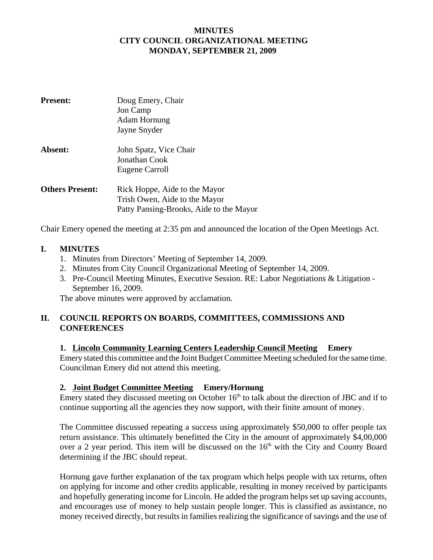## **MINUTES CITY COUNCIL ORGANIZATIONAL MEETING MONDAY, SEPTEMBER 21, 2009**

| <b>Present:</b>        | Doug Emery, Chair<br>Jon Camp<br><b>Adam Hornung</b><br>Jayne Snyder                                      |
|------------------------|-----------------------------------------------------------------------------------------------------------|
| Absent:                | John Spatz, Vice Chair<br>Jonathan Cook<br>Eugene Carroll                                                 |
| <b>Others Present:</b> | Rick Hoppe, Aide to the Mayor<br>Trish Owen, Aide to the Mayor<br>Patty Pansing-Brooks, Aide to the Mayor |

Chair Emery opened the meeting at 2:35 pm and announced the location of the Open Meetings Act.

#### **I. MINUTES**

- 1. Minutes from Directors' Meeting of September 14, 2009.
- 2. Minutes from City Council Organizational Meeting of September 14, 2009.
- 3. Pre-Council Meeting Minutes, Executive Session. RE: Labor Negotiations & Litigation September 16, 2009.

The above minutes were approved by acclamation.

## **II. COUNCIL REPORTS ON BOARDS, COMMITTEES, COMMISSIONS AND CONFERENCES**

#### **1. Lincoln Community Learning Centers Leadership Council Meeting Emery**

Emery stated this committee and the Joint Budget Committee Meeting scheduled for the same time. Councilman Emery did not attend this meeting.

## **2. Joint Budget Committee Meeting Emery/Hornung**

Emery stated they discussed meeting on October  $16<sup>th</sup>$  to talk about the direction of JBC and if to continue supporting all the agencies they now support, with their finite amount of money.

The Committee discussed repeating a success using approximately \$50,000 to offer people tax return assistance. This ultimately benefitted the City in the amount of approximately \$4,00,000 over a 2 year period. This item will be discussed on the  $16<sup>th</sup>$  with the City and County Board determining if the JBC should repeat.

Hornung gave further explanation of the tax program which helps people with tax returns, often on applying for income and other credits applicable, resulting in money received by participants and hopefully generating income for Lincoln. He added the program helps set up saving accounts, and encourages use of money to help sustain people longer. This is classified as assistance, no money received directly, but results in families realizing the significance of savings and the use of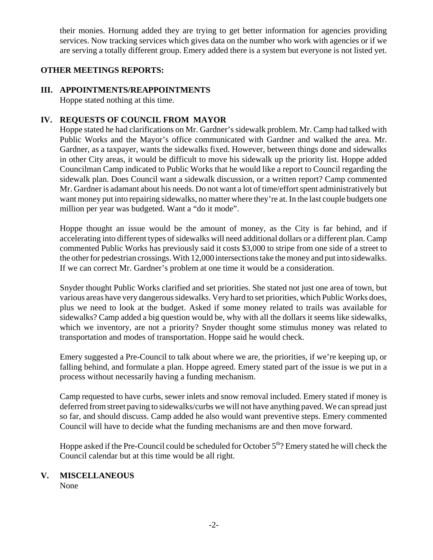their monies. Hornung added they are trying to get better information for agencies providing services. Now tracking services which gives data on the number who work with agencies or if we are serving a totally different group. Emery added there is a system but everyone is not listed yet.

## **OTHER MEETINGS REPORTS:**

## **III. APPOINTMENTS/REAPPOINTMENTS**

Hoppe stated nothing at this time.

## **IV. REQUESTS OF COUNCIL FROM MAYOR**

Hoppe stated he had clarifications on Mr. Gardner's sidewalk problem. Mr. Camp had talked with Public Works and the Mayor's office communicated with Gardner and walked the area. Mr. Gardner, as a taxpayer, wants the sidewalks fixed. However, between things done and sidewalks in other City areas, it would be difficult to move his sidewalk up the priority list. Hoppe added Councilman Camp indicated to Public Works that he would like a report to Council regarding the sidewalk plan. Does Council want a sidewalk discussion, or a written report? Camp commented Mr. Gardner is adamant about his needs. Do not want a lot of time/effort spent administratively but want money put into repairing sidewalks, no matter where they're at. In the last couple budgets one million per year was budgeted. Want a "do it mode".

Hoppe thought an issue would be the amount of money, as the City is far behind, and if accelerating into different types of sidewalks will need additional dollars or a different plan. Camp commented Public Works has previously said it costs \$3,000 to stripe from one side of a street to the other for pedestrian crossings. With 12,000 intersections take the money and put into sidewalks. If we can correct Mr. Gardner's problem at one time it would be a consideration.

Snyder thought Public Works clarified and set priorities. She stated not just one area of town, but various areas have very dangerous sidewalks. Very hard to set priorities, which Public Works does, plus we need to look at the budget. Asked if some money related to trails was available for sidewalks? Camp added a big question would be, why with all the dollars it seems like sidewalks, which we inventory, are not a priority? Snyder thought some stimulus money was related to transportation and modes of transportation. Hoppe said he would check.

Emery suggested a Pre-Council to talk about where we are, the priorities, if we're keeping up, or falling behind, and formulate a plan. Hoppe agreed. Emery stated part of the issue is we put in a process without necessarily having a funding mechanism.

Camp requested to have curbs, sewer inlets and snow removal included. Emery stated if money is deferred from street paving to sidewalks/curbs we will not have anything paved. We can spread just so far, and should discuss. Camp added he also would want preventive steps. Emery commented Council will have to decide what the funding mechanisms are and then move forward.

Hoppe asked if the Pre-Council could be scheduled for October 5<sup>th</sup>? Emery stated he will check the Council calendar but at this time would be all right.

## **V. MISCELLANEOUS**

None